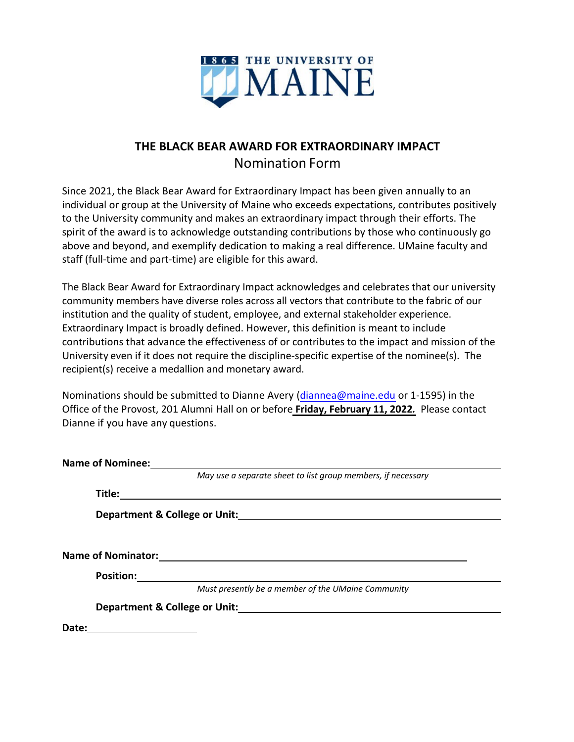

# **THE BLACK BEAR AWARD FOR EXTRAORDINARY IMPACT** Nomination Form

Since 2021, the Black Bear Award for Extraordinary Impact has been given annually to an individual or group at the University of Maine who exceeds expectations, contributes positively to the University community and makes an extraordinary impact through their efforts. The spirit of the award is to acknowledge outstanding contributions by those who continuously go above and beyond, and exemplify dedication to making a real difference. UMaine faculty and staff (full-time and part-time) are eligible for this award.

The Black Bear Award for Extraordinary Impact acknowledges and celebrates that our university community members have diverse roles across all vectors that contribute to the fabric of our institution and the quality of student, employee, and external stakeholder experience. Extraordinary Impact is broadly defined. However, this definition is meant to include contributions that advance the effectiveness of or contributes to the impact and mission of the University even if it does not require the discipline-specific expertise of the nominee(s). The recipient(s) receive a medallion and monetary award.

Nominations should be submitted to Dianne Avery (diannea@maine.edu or 1-1595) in the Office of the Provost, 201 Alumni Hall on or before **Friday, February 11, 2022***.* Please contact Dianne if you have any questions.

|       | <b>Name of Nominee:</b>                                      |
|-------|--------------------------------------------------------------|
|       | May use a separate sheet to list group members, if necessary |
|       | Title:                                                       |
|       |                                                              |
|       |                                                              |
|       | <b>Name of Nominator:</b>                                    |
|       | <b>Position:</b>                                             |
|       | Must presently be a member of the UMaine Community           |
|       | Department & College or Unit:                                |
| Date: |                                                              |